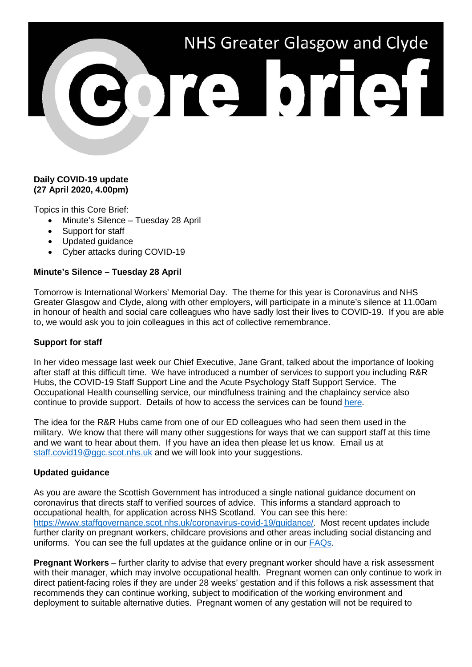# NHS Greater Glasgow and Clyde ore brief

## **Daily COVID-19 update (27 April 2020, 4.00pm)**

Topics in this Core Brief:

- Minute's Silence Tuesday 28 April
- Support for staff
- Updated guidance
- Cyber attacks during COVID-19

# **Minute's Silence – Tuesday 28 April**

Tomorrow is International Workers' Memorial Day. The theme for this year is Coronavirus and NHS Greater Glasgow and Clyde, along with other employers, will participate in a minute's silence at 11.00am in honour of health and social care colleagues who have sadly lost their lives to COVID-19. If you are able to, we would ask you to join colleagues in this act of collective remembrance.

### **Support for staff**

In her video message last week our Chief Executive, Jane Grant, talked about the importance of looking after staff at this difficult time. We have introduced a number of services to support you including R&R Hubs, the COVID-19 Staff Support Line and the Acute Psychology Staff Support Service. The Occupational Health counselling service, our mindfulness training and the chaplaincy service also continue to provide support. Details of how to access the services can be found [here.](https://www.nhsggc.org.uk/your-health/health-issues/covid-19-coronavirus/for-nhsggc-staff/staff-support-and-wellbeing/)

The idea for the R&R Hubs came from one of our ED colleagues who had seen them used in the military. We know that there will many other suggestions for ways that we can support staff at this time and we want to hear about them. If you have an idea then please let us know. Email us at [staff.covid19@ggc.scot.nhs.uk](mailto:staff.covid19@ggc.scot.nhs.uk) and we will look into your suggestions.

### **Updated guidance**

As you are aware the Scottish Government has introduced a single national guidance document on coronavirus that directs staff to verified sources of advice. This informs a standard approach to occupational health, for application across NHS Scotland. You can see this here: [https://www.staffgovernance.scot.nhs.uk/coronavirus-covid-19/guidance/.](https://www.staffgovernance.scot.nhs.uk/coronavirus-covid-19/guidance/) Most recent updates include further clarity on pregnant workers, childcare provisions and other areas including social distancing and uniforms. You can see the full updates at the guidance online or in our [FAQs.](https://www.nhsggc.org.uk/your-health/health-issues/covid-19-coronavirus/for-nhsggc-staff/faqs/)

**Pregnant Workers** – further clarity to advise that every pregnant worker should have a risk assessment with their manager, which may involve occupational health. Pregnant women can only continue to work in direct patient-facing roles if they are under 28 weeks' gestation and if this follows a risk assessment that recommends they can continue working, subject to modification of the working environment and deployment to suitable alternative duties. Pregnant women of any gestation will not be required to